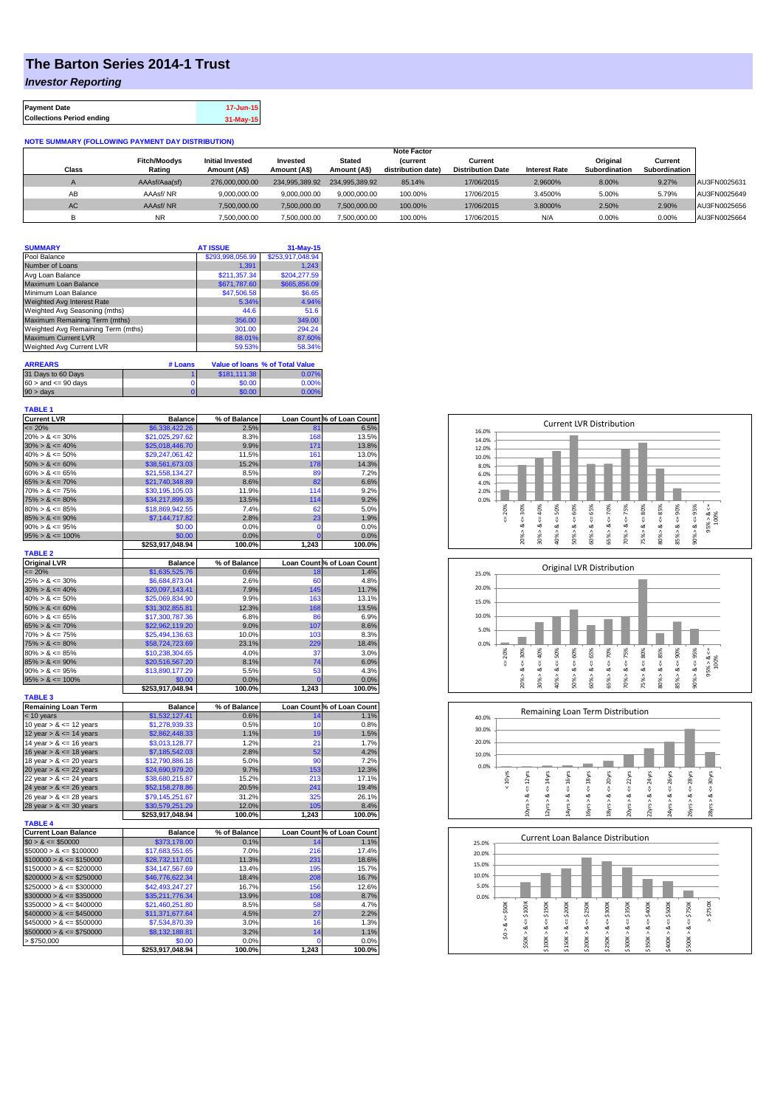## **The Barton Series 2014-1 Trust**

*Investor Reporting*

| <b>Payment Date</b>              | 17-Jun-15 |
|----------------------------------|-----------|
| <b>Collections Period ending</b> | 31-May-15 |

## **NOTE SUMMARY (FOLLOWING PAYMENT DAY DISTRIBUTION)**

|              |                     |                         |                |                | <b>Note Factor</b> |                          |                      |               |               |              |
|--------------|---------------------|-------------------------|----------------|----------------|--------------------|--------------------------|----------------------|---------------|---------------|--------------|
|              | <b>Fitch/Moodys</b> | <b>Initial Invested</b> | Invested       | Stated         | <b>Current</b>     | Current                  |                      | Original      | Current       |              |
| <b>Class</b> | Rating              | Amount (A\$)            | Amount (A\$)   | Amount (A\$)   | distribution date) | <b>Distribution Date</b> | <b>Interest Rate</b> | Subordination | Subordination |              |
|              | AAAsf/Aaa(sf)       | 276,000,000,00          | 234.995.389.92 | 234.995.389.92 | 85.14%             | 17/06/2015               | 2.9600%              | 8.00%         | 9.27%         | AU3FN0025631 |
| AB           | AAAsf/NR            | 9,000,000.00            | 9.000.000.00   | 9.000.000.00   | 100.00%            | 17/06/2015               | 3.4500%              | 5.00%         | 5.79%         | AU3FN0025649 |
| AC.          | AAAsf/NR            | 7,500,000.00            | 7.500.000.00   | 7.500.000.00   | 100.00%            | 17/06/2015               | 3.8000%              | 2.50%         | 2.90%         | AU3FN0025656 |
|              | <b>NR</b>           | ,500,000.00             | 7.500.000.00   | 7,500,000.00   | 100.00%            | 17/06/2015               | N/A                  | 0.00%         | 0.00%         | AU3FN0025664 |

| <b>SUMMARY</b>                     |         | <b>AT ISSUE</b>  | 31-May-15                              |
|------------------------------------|---------|------------------|----------------------------------------|
| Pool Balance                       |         | \$293,998,056.99 | \$253,917,048.94                       |
| Number of Loans                    |         | 1.391            | 1.243                                  |
| Avg Loan Balance                   |         | \$211,357.34     | \$204.277.59                           |
| Maximum Loan Balance               |         | \$671,787.60     | \$665,856.09                           |
| Minimum Loan Balance               |         | \$47,506.58      | \$6.65                                 |
| <b>Weighted Avg Interest Rate</b>  |         | 5.34%            | 4.94%                                  |
| Weighted Avg Seasoning (mths)      |         | 44.6             | 51.6                                   |
| Maximum Remaining Term (mths)      |         | 356.00           | 349.00                                 |
| Weighted Avg Remaining Term (mths) |         | 301.00           | 294.24                                 |
| <b>Maximum Current LVR</b>         |         | 88.01%           | 87.60%                                 |
| Weighted Avg Current LVR           |         | 59.53%           | 58.34%                                 |
| <b>ARREARS</b>                     | # Loans |                  | <b>Value of loans % of Total Value</b> |

| 31 Days to 60 Days        | \$181,111,38 | 0.07%    |
|---------------------------|--------------|----------|
| $60 >$ and $\leq 90$ days | \$0.00       | 0.00%    |
| $90 > \text{days}$        | \$0.00       | $0.00\%$ |

| <b>TABLE 1</b>                               |                  |               |            |                            |
|----------------------------------------------|------------------|---------------|------------|----------------------------|
| <b>Current LVR</b>                           | <b>Balance</b>   | % of Balance  |            | Loan Count % of Loan Count |
| $= 20%$                                      | \$6,338,422.26   | 2.5%          | 81         | 6.5%                       |
| $20\% > 8 \le 30\%$                          | \$21,025,297.62  | 8.3%          | 168        | 13.5%                      |
| $30\% > 8 \le 40\%$                          | \$25,018,446.70  | 9.9%          | 171        | 13.8%                      |
| $40\% > 8 \le 50\%$                          | \$29,247,061.42  | 11.5%         | 161        | 13.0%                      |
| $50\% > 8 \le 60\%$                          | \$38,561,673.03  | 15.2%         | 178        | 14.3%                      |
| $60\% > 8 \le 65\%$                          | \$21,558,134.27  | 8.5%          | 89<br>82   | 7.2%                       |
| $65\% > 8 \le 70\%$                          | \$21,740,348.89  | 8.6%          |            | 6.6%                       |
| $70\% > 8 \le 75\%$                          | \$30,195,105.03  | 11.9%         | 114        | 9.2%                       |
| $75\% > 8 \le 80\%$<br>$80\% > 8 \le 85\%$   | \$34,217,899.35  | 13.5%<br>7.4% | 114<br>62  | 9.2%                       |
| $85\% > 8 \le 90\%$                          | \$18,869,942.55  | 2.8%          | 23         | 5.0%                       |
| $90\% > 8 \le 95\%$                          | \$7,144,717.82   |               |            | 1.9%                       |
| $95\% > 8 \le 100\%$                         | \$0.00<br>\$0.00 | 0.0%<br>0.0%  | 0<br>Ō     | 0.0%<br>0.0%               |
|                                              | \$253,917,048.94 | 100.0%        | 1,243      | 100.0%                     |
| <b>TABLE 2</b>                               |                  |               |            |                            |
| <b>Original LVR</b>                          | <b>Balance</b>   | % of Balance  |            | Loan Count % of Loan Count |
| $\leq$ 20%                                   | \$1,635,525.76   | 0.6%          | 18         | 1.4%                       |
| $25\% > 8 \le 30\%$                          | \$6,684,873.04   | 2.6%          | 60         | 4.8%                       |
| $30\% > 8 \le 40\%$                          | \$20,097,143.41  | 7.9%          | 145        | 11.7%                      |
| $40\% > 8 \le 50\%$                          | \$25,069,834.90  | 9.9%          | 163        | 13.1%                      |
| $50\% > 8 \le 60\%$                          | \$31,302,855.81  | 12.3%         | 168        | 13.5%                      |
| $60\% > 8 \le 65\%$                          | \$17,300,787.36  | 6.8%          | 86         | 6.9%                       |
| $65\% > 8 \le 70\%$                          | \$22,962,119.20  | 9.0%          | 107        | 8.6%                       |
| $70\% > 8 \le 75\%$                          | \$25,494,136.63  | 10.0%         | 103        | 8.3%                       |
| $75\% > 8 \le 80\%$                          | \$58,724,723.69  | 23.1%         | 229        | 18.4%                      |
| $80\% > 8 \le 85\%$                          | \$10,238,304.65  | 4.0%          | 37         | 3.0%                       |
| $85\% > 8 \le 90\%$                          | \$20,516,567.20  | 8.1%          | 74         | 6.0%                       |
| $90\% > 8 \le 95\%$                          | \$13,890,177.29  | 5.5%          | 53         | 4.3%                       |
| $95\% > 8 \le 100\%$                         | \$0.00           | 0.0%          | $\sqrt{ }$ | 0.0%                       |
|                                              | \$253,917,048.94 | 100.0%        | 1,243      | 100.0%                     |
| <b>TABLE 3</b><br><b>Remaining Loan Term</b> | <b>Balance</b>   | % of Balance  |            | Loan Count % of Loan Count |
| < 10 years                                   | \$1,532,127.41   | 0.6%          | 14         | 1.1%                       |
| 10 year $> 8 \le 12$ years                   | \$1,278,939.33   | 0.5%          | 10         | 0.8%                       |
| 12 year $> 8 \le 14$ years                   | \$2,862,448.33   | 1.1%          | 19         | 1.5%                       |
| 14 year $> 8 \le 16$ years                   | \$3,013,128.77   | 1.2%          | 21         | 1.7%                       |
| 16 year $> 8 \le 18$ years                   | \$7,185,542.03   | 2.8%          | 52         | 4.2%                       |
| 18 year $> 8 \le 20$ years                   | \$12,790,886.18  | 5.0%          | 90         | 7.2%                       |
| 20 year $> 8 \le 22$ years                   | \$24,690,979.20  | 9.7%          | 153        | 12.3%                      |
| 22 year $> 8 \le 24$ years                   | \$38,680,215.87  | 15.2%         | 213        | 17.1%                      |
| 24 year $> 8 \le 26$ years                   | \$52,158,278.86  | 20.5%         | 241        | 19.4%                      |
| 26 year > & <= 28 years                      | \$79,145,251.67  | 31.2%         | 325        | 26.1%                      |
| 28 year $> 8 \le 30$ years                   | \$30,579,251.29  | 12.0%         | 105        | 8.4%                       |
|                                              | \$253,917,048.94 | 100.0%        | 1,243      | 100.0%                     |
| <b>TABLE 4</b>                               |                  |               |            |                            |
| <b>Current Loan Balance</b>                  | <b>Balance</b>   | % of Balance  |            | Loan Count % of Loan Count |
| $$0 > 8 \le $50000$                          | \$373,178.00     | 0.1%          | 14         | 1.1%                       |
| $$50000 > 8 \le $100000$                     | \$17,683,551.65  | 7.0%          | 216        | 17.4%                      |
| $$100000 > 8 \leq $150000$                   | \$28,732,117.01  | 11.3%         | 231        | 18.6%                      |
| $$150000 > 8 \leq $200000$                   | \$34,147,567.69  | 13.4%         | 195        | 15.7%                      |
| $$200000 > 8 \leq $250000$                   | \$46,776,622.34  | 18.4%         | 208        | 16.7%                      |
| $$250000 > 8 \leq $300000$                   | \$42,493,247.27  | 16.7%         | 156        | 12.6%                      |
| $$300000 > 8 \leq $350000$                   | \$35,211,776.34  | 13.9%         | 108        | 8.7%                       |
| $$350000 > 8 \leq $400000$                   | \$21,460,251.80  | 8.5%          | 58         | 4.7%                       |
| $$400000 > 8 \leq $450000$                   | \$11,371,677.64  | 4.5%          | 27         | 2.2%                       |
| $$450000 > 8 \le $500000$                    | \$7,534,870.39   | 3.0%          | 16         | 1.3%                       |
| $$500000 > 8 \leq $750000$                   | \$8,132,188.81   | 3.2%          | 14         | 1.1%                       |
| > \$750,000                                  | \$0.00           | 0.0%          | 0          | 0.0%                       |
|                                              | \$253,917,048.94 | 100.0%        | 1,243      | 100.0%                     |